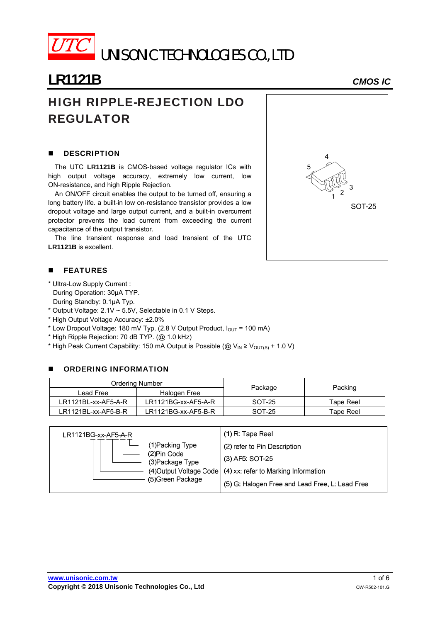

### HIGH RIPPLE-REJECTION LDO REGULATOR

#### **DESCRIPTION**

The UTC **LR1121B** is CMOS-based voltage regulator ICs with high output voltage accuracy, extremely low current, low ON-resistance, and high Ripple Rejection.

An ON/OFF circuit enables the output to be turned off, ensuring a long battery life. a built-in low on-resistance transistor provides a low dropout voltage and large output current, and a built-in overcurrent protector prevents the load current from exceeding the current capacitance of the output transistor.

The line transient response and load transient of the UTC **LR1121B** is excellent.

#### **FEATURES**

- \* Ultra-Low Supply Current : During Operation: 30μA TYP. During Standby: 0.1μA Typ.
- $*$  Output Voltage: 2.1V  $\sim$  5.5V, Selectable in 0.1 V Steps.
- \* High Output Voltage Accuracy: ±2.0%
- \* Low Dropout Voltage: 180 mV Typ. (2.8 V Output Product,  $I_{OUT}$  = 100 mA)
- \* High Ripple Rejection: 70 dB TYP. (@ 1.0 kHz)
- \* High Peak Current Capability: 150 mA Output is Possible ( $@V_{\text{IN}} \geq V_{\text{OUT(S)}} + 1.0 V$ )

#### ORDERING INFORMATION

|                           | Ordering Number        |         |           |  |
|---------------------------|------------------------|---------|-----------|--|
| Halogen Free<br>Lead Free |                        | Package | Packing   |  |
| LR1121BL-xx-AF5-A-R       | LR1121BG-xx-AF5-A-R    | SOT-25  | Tape Reel |  |
| LR1121BL-xx-AF5-B-R       | $LR1121BG$ -xx-AF5-B-R | SOT-25  | Tape Reel |  |

| $LR1121BG$ -xx-AF5-A-R           | $(1)$ R: Tape Reel                              |
|----------------------------------|-------------------------------------------------|
| (1) Packing Type                 | (2) refer to Pin Description                    |
| (2) Pin Code<br>(3) Package Type | (3) AF5: SOT-25                                 |
| (4) Output Voltage Code          | (4) xx: refer to Marking Information            |
| (5) Green Package                | (5) G: Halogen Free and Lead Free, L: Lead Free |

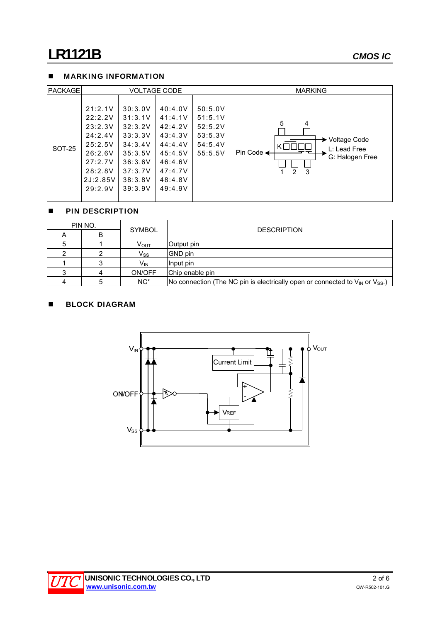#### **MARKING INFORMATION**

| <b>PACKAGE</b> | <b>VOLTAGE CODE</b>                                                                                         |                                                                                                            |                                                                                                            |                                                                | <b>MARKING</b>                                                                                                         |
|----------------|-------------------------------------------------------------------------------------------------------------|------------------------------------------------------------------------------------------------------------|------------------------------------------------------------------------------------------------------------|----------------------------------------------------------------|------------------------------------------------------------------------------------------------------------------------|
| SOT-25         | 21:2.1V<br>22:2.2V<br>23:2.3V<br>24:2.4V<br>25:2.5V<br>26:2.6V<br>27:2.7V<br>28:2.8V<br>2J:2.85V<br>29:2.9V | 30:3.0V<br>31:3.1V<br>32:3.2V<br>33:3.3V<br>34:3.4V<br>35:3.5V<br>36:3.6V<br>37:3.7V<br>38:3.8V<br>39:3.9V | 40:4.0V<br>41:4.1V<br>42:4.2V<br>43:4.3V<br>44:4.4V<br>45:4.5V<br>46:4.6V<br>47:4.7V<br>48:4.8V<br>49:4.9V | 50:5.0V<br>51:5.1V<br>52:5.2V<br>53:5.3V<br>54:5.4V<br>55:5.5V | 5<br>4<br>→ Voltage Code<br>KI<br>L: Lead Free<br>Pin Code $\triangleleft$<br>G: Halogen Free<br>$\overline{2}$<br>- 3 |

#### **PIN DESCRIPTION**

| PIN NO. |   |                       |                                                                                        |  |  |  |
|---------|---|-----------------------|----------------------------------------------------------------------------------------|--|--|--|
| A       | R | <b>SYMBOL</b>         | <b>DESCRIPTION</b>                                                                     |  |  |  |
|         |   | VOUT                  | Output pin                                                                             |  |  |  |
|         |   | $V_{SS}$              | GND pin                                                                                |  |  |  |
|         |   | <b>V<sub>IN</sub></b> | Input pin                                                                              |  |  |  |
|         |   | ON/OFF                | Chip enable pin                                                                        |  |  |  |
|         |   | $NC^*$                | No connection (The NC pin is electrically open or connected to $V_{IN}$ or $V_{SS}$ .) |  |  |  |

### **BLOCK DIAGRAM**



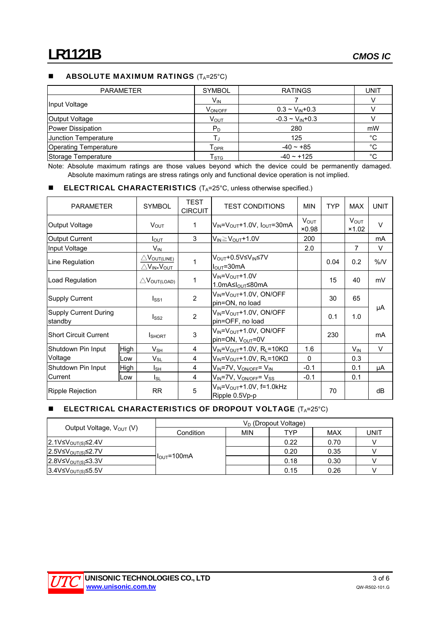#### **ABSOLUTE MAXIMUM RATINGS**  $(T_A=25^{\circ}C)$

| <b>PARAMETER</b>             | <b>SYMBOL</b>               | <b>RATINGS</b>           | UNIT        |
|------------------------------|-----------------------------|--------------------------|-------------|
|                              | $V_{IN}$                    |                          |             |
| Input Voltage                | VON/OFF                     | $0.3 \sim V_{IN} + 0.3$  |             |
| Output Voltage               | <b>V<sub>OUT</sub></b>      | $-0.3 \sim V_{IN} + 0.3$ |             |
| Power Dissipation            | $P_D$                       | 280                      | mW          |
| <b>Junction Temperature</b>  |                             | 125                      | $^{\circ}C$ |
| <b>Operating Temperature</b> | $\mathsf{T}_{\mathsf{OPR}}$ | $-40 - +85$              | °C          |
| Storage Temperature          | $\mathsf{T}_{\text{STG}}$   | $-40 - +125$             | °C          |

Note: Absolute maximum ratings are those values beyond which the device could be permanently damaged. Absolute maximum ratings are stress ratings only and functional device operation is not implied.

#### **ELECTRICAL CHARACTERISTICS**  $(T_A=25^\circ \text{C}$ , unless otherwise specified.)

| <b>PARAMETER</b>                        |      | <b>SYMBOL</b>                                            | TEST<br><b>CIRCUIT</b> | <b>TEST CONDITIONS</b>                                                          | <b>MIN</b>                       | <b>TYP</b> | <b>MAX</b>            | <b>UNIT</b> |
|-----------------------------------------|------|----------------------------------------------------------|------------------------|---------------------------------------------------------------------------------|----------------------------------|------------|-----------------------|-------------|
| Output Voltage                          |      | <b>V</b> <sub>OUT</sub>                                  | 1                      | $V_{IN}$ = $V_{OUT}$ +1.0V, $I_{OUT}$ =30mA                                     | <b>V</b> <sub>OUT</sub><br>×0.98 |            | <b>V</b> OUT<br>×1.02 | $\vee$      |
| <b>Output Current</b>                   |      | $I_{\text{OUT}}$                                         | 3                      | Vın≧Vou⊤+1.0V                                                                   | 200                              |            |                       | mA          |
| Input Voltage                           |      | V <sub>IN</sub>                                          |                        |                                                                                 | 2.0                              |            | $\overline{7}$        | $\vee$      |
| Line Regulation                         |      | $\triangle V_{\text{OUT(LINE)}}$<br>$\triangle$ Vin×Vout | 1                      | V <sub>OUT</sub> +0.5V≤Vın≤7V<br>I <sub>OUT</sub> =30mA                         |                                  | 0.04       | 0.2                   | %N          |
| Load Regulation                         |      | $\triangle V$ out(Load)                                  | 1                      | $V_{IN} = V_{OUT} + 1.0V$<br>1.0mA≤I <sub>OUT</sub> ≤80mA                       |                                  | 15         | 40                    | mV          |
| <b>Supply Current</b>                   |      | I <sub>SS1</sub>                                         | 2                      | V <sub>IN</sub> =V <sub>OUT</sub> +1.0V, ON/OFF<br>pin=ON, no load              |                                  | 30         | 65                    |             |
| <b>Supply Current During</b><br>standby |      | I <sub>SS2</sub>                                         | $\overline{2}$         | V <sub>IN</sub> =V <sub>OUT</sub> +1.0V, ON/OFF<br>pin=OFF, no load             |                                  | 0.1        | 1.0                   | μA          |
| <b>Short Circuit Current</b>            |      | <b>I</b> SHORT                                           | 3                      | V <sub>IN</sub> =V <sub>OUT</sub> +1.0V, ON/OFF<br>pin=ON, V <sub>OUT</sub> =0V |                                  | 230        |                       | mA          |
| Shutdown Pin Input                      | High | $V_{\mathsf{SH}}$                                        | 4                      | $V_{IN} = V_{OUT} + 1.0V$ , R <sub>L</sub> =10KΩ                                | 1.6                              |            | $V_{\text{IN}}$       | V           |
| Voltage                                 | Low  | $V_{SL}$                                                 | 4                      | $V_{IN} = V_{OUT} + 1.0V$ , R <sub>L</sub> =10K $\Omega$                        | 0                                |            | 0.3                   |             |
| Shutdown Pin Input                      | High | Isн                                                      | 4                      | $V_{IN}$ =7V, $V_{ON/OFF}$ = $V_{IN}$                                           | $-0.1$                           |            | 0.1                   | μA          |
| Current                                 | Low  | $I_{SL}$                                                 | 4                      | $-0.1$<br>$V_{IN}$ =7V, $V_{ON/OFF}$ = $V_{SS}$                                 |                                  |            | 0.1                   |             |
| Ripple Rejection                        |      | <b>RR</b>                                                | 5                      | $V_{IN}$ = $V_{OUT}$ +1.0V, f=1.0kHz<br>Ripple 0.5Vp-p                          |                                  | 70         |                       | dB          |

#### **ELECTRICAL CHARACTERISTICS OF DROPOUT VOLTAGE**  $(T_A=25^{\circ}C)$

|                                      | $V_D$ (Dropout Voltage) |            |      |            |      |  |  |
|--------------------------------------|-------------------------|------------|------|------------|------|--|--|
| Output Voltage, V <sub>OUT</sub> (V) | Condition               | <b>MIN</b> | TYP  | <b>MAX</b> | UNIT |  |  |
| 2.1V≤V <sub>OUT(S)</sub> ≤2.4V       |                         |            | 0.22 | 0.70       |      |  |  |
| 2.5V≤V <sub>OUT(S)</sub> ≤2.7V       |                         |            | 0.20 | 0.35       |      |  |  |
| 2.8V≤V <sub>OUT(S)</sub> ≤3.3V       | $I_{\text{OUT}}$ =100mA |            | 0.18 | 0.30       |      |  |  |
| 3.4V≤V <sub>OUT(S)</sub> ≤5.5V       |                         |            | 0.15 | 0.26       |      |  |  |

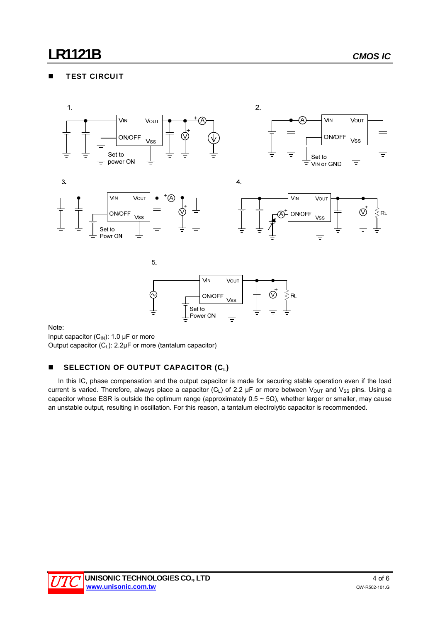#### **TEST CIRCUIT**



Note:

Input capacitor  $(C_{\text{IN}})$ : 1.0 μF or more

Output capacitor  $(C_L)$ : 2.2µF or more (tantalum capacitor)

#### **SELECTION OF OUTPUT CAPACITOR (C<sub>L</sub>)**

In this IC, phase compensation and the output capacitor is made for securing stable operation even if the load current is varied. Therefore, always place a capacitor (C<sub>L</sub>) of 2.2 µF or more between V<sub>OUT</sub> and V<sub>SS</sub> pins. Using a capacitor whose ESR is outside the optimum range (approximately  $0.5 \sim 5\Omega$ ), whether larger or smaller, may cause an unstable output, resulting in oscillation. For this reason, a tantalum electrolytic capacitor is recommended.

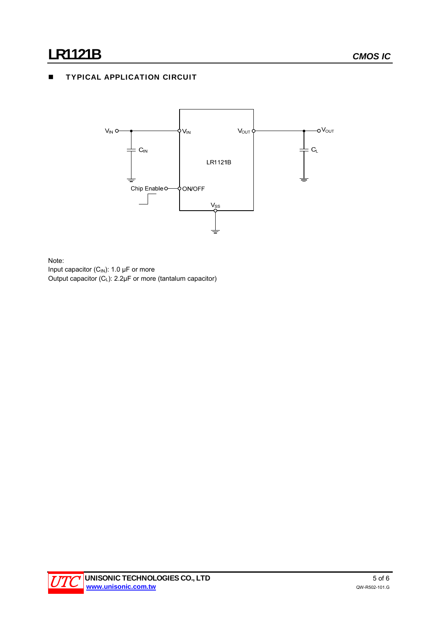### **TYPICAL APPLICATION CIRCUIT**



Note: Input capacitor  $(C_{IN})$ : 1.0 µF or more Output capacitor (CL): 2.2μF or more (tantalum capacitor)